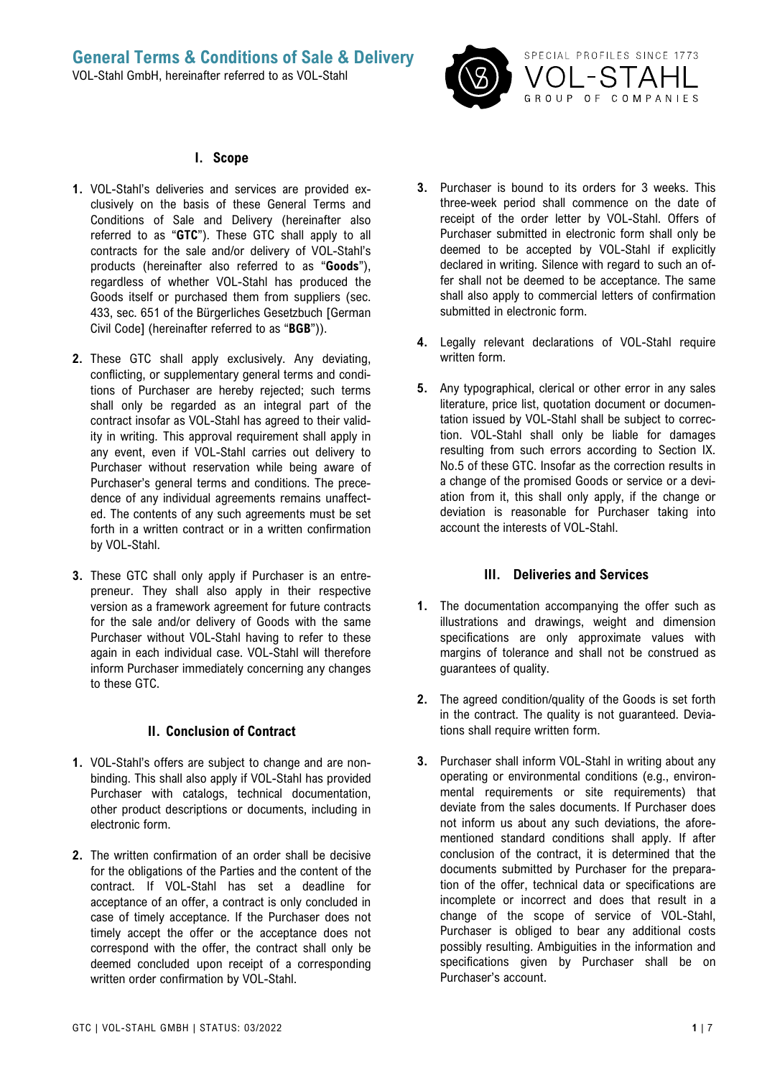

#### **I. Scope**

- **1.** VOL-Stahl's deliveries and services are provided exclusively on the basis of these General Terms and Conditions of Sale and Delivery (hereinafter also referred to as "**GTC**"). These GTC shall apply to all contracts for the sale and/or delivery of VOL-Stahl's products (hereinafter also referred to as "**Goods**"), regardless of whether VOL-Stahl has produced the Goods itself or purchased them from suppliers (sec. 433, sec. 651 of the Bürgerliches Gesetzbuch [German Civil Code] (hereinafter referred to as "**BGB**")).
- **2.** These GTC shall apply exclusively. Any deviating, conflicting, or supplementary general terms and conditions of Purchaser are hereby rejected; such terms shall only be regarded as an integral part of the contract insofar as VOL-Stahl has agreed to their validity in writing. This approval requirement shall apply in any event, even if VOL-Stahl carries out delivery to Purchaser without reservation while being aware of Purchaser's general terms and conditions. The precedence of any individual agreements remains unaffected. The contents of any such agreements must be set forth in a written contract or in a written confirmation by VOL-Stahl.
- **3.** These GTC shall only apply if Purchaser is an entrepreneur. They shall also apply in their respective version as a framework agreement for future contracts for the sale and/or delivery of Goods with the same Purchaser without VOL-Stahl having to refer to these again in each individual case. VOL-Stahl will therefore inform Purchaser immediately concerning any changes to these GTC.

#### **II. Conclusion of Contract**

- **1.** VOL-Stahl's offers are subject to change and are nonbinding. This shall also apply if VOL-Stahl has provided Purchaser with catalogs, technical documentation, other product descriptions or documents, including in electronic form.
- **2.** The written confirmation of an order shall be decisive for the obligations of the Parties and the content of the contract. If VOL-Stahl has set a deadline for acceptance of an offer, a contract is only concluded in case of timely acceptance. If the Purchaser does not timely accept the offer or the acceptance does not correspond with the offer, the contract shall only be deemed concluded upon receipt of a corresponding written order confirmation by VOL-Stahl.
- **3.** Purchaser is bound to its orders for 3 weeks. This three-week period shall commence on the date of receipt of the order letter by VOL-Stahl. Offers of Purchaser submitted in electronic form shall only be deemed to be accepted by VOL-Stahl if explicitly declared in writing. Silence with regard to such an offer shall not be deemed to be acceptance. The same shall also apply to commercial letters of confirmation submitted in electronic form.
- **4.** Legally relevant declarations of VOL-Stahl require written form.
- **5.** Any typographical, clerical or other error in any sales literature, price list, quotation document or documentation issued by VOL-Stahl shall be subject to correction. VOL-Stahl shall only be liable for damages resulting from such errors according to Section IX. No.5 of these GTC. Insofar as the correction results in a change of the promised Goods or service or a deviation from it, this shall only apply, if the change or deviation is reasonable for Purchaser taking into account the interests of VOL-Stahl.

#### **III. Deliveries and Services**

- **1.** The documentation accompanying the offer such as illustrations and drawings, weight and dimension specifications are only approximate values with margins of tolerance and shall not be construed as guarantees of quality.
- **2.** The agreed condition/quality of the Goods is set forth in the contract. The quality is not guaranteed. Deviations shall require written form.
- **3.** Purchaser shall inform VOL-Stahl in writing about any operating or environmental conditions (e.g., environmental requirements or site requirements) that deviate from the sales documents. If Purchaser does not inform us about any such deviations, the aforementioned standard conditions shall apply. If after conclusion of the contract, it is determined that the documents submitted by Purchaser for the preparation of the offer, technical data or specifications are incomplete or incorrect and does that result in a change of the scope of service of VOL-Stahl, Purchaser is obliged to bear any additional costs possibly resulting. Ambiguities in the information and specifications given by Purchaser shall be on Purchaser's account.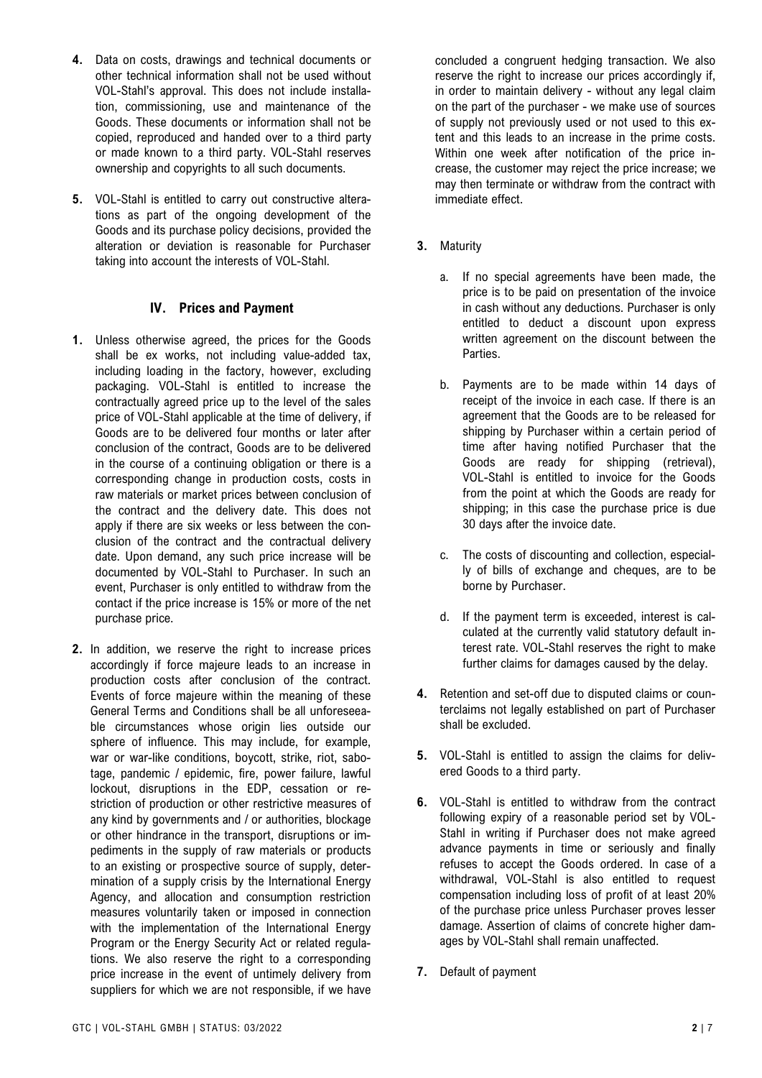- **4.** Data on costs, drawings and technical documents or other technical information shall not be used without VOL-Stahl's approval. This does not include installation, commissioning, use and maintenance of the Goods. These documents or information shall not be copied, reproduced and handed over to a third party or made known to a third party. VOL-Stahl reserves ownership and copyrights to all such documents.
- **5.** VOL-Stahl is entitled to carry out constructive alterations as part of the ongoing development of the Goods and its purchase policy decisions, provided the alteration or deviation is reasonable for Purchaser taking into account the interests of VOL-Stahl.

### **IV. Prices and Payment**

- **1.** Unless otherwise agreed, the prices for the Goods shall be ex works, not including value-added tax, including loading in the factory, however, excluding packaging. VOL-Stahl is entitled to increase the contractually agreed price up to the level of the sales price of VOL-Stahl applicable at the time of delivery, if Goods are to be delivered four months or later after conclusion of the contract, Goods are to be delivered in the course of a continuing obligation or there is a corresponding change in production costs, costs in raw materials or market prices between conclusion of the contract and the delivery date. This does not apply if there are six weeks or less between the conclusion of the contract and the contractual delivery date. Upon demand, any such price increase will be documented by VOL-Stahl to Purchaser. In such an event, Purchaser is only entitled to withdraw from the contact if the price increase is 15% or more of the net purchase price.
- **2.** In addition, we reserve the right to increase prices accordingly if force majeure leads to an increase in production costs after conclusion of the contract. Events of force majeure within the meaning of these General Terms and Conditions shall be all unforeseeable circumstances whose origin lies outside our sphere of influence. This may include, for example, war or war-like conditions, boycott, strike, riot, sabotage, pandemic / epidemic, fire, power failure, lawful lockout, disruptions in the EDP, cessation or restriction of production or other restrictive measures of any kind by governments and / or authorities, blockage or other hindrance in the transport, disruptions or impediments in the supply of raw materials or products to an existing or prospective source of supply, determination of a supply crisis by the International Energy Agency, and allocation and consumption restriction measures voluntarily taken or imposed in connection with the implementation of the International Energy Program or the Energy Security Act or related regulations. We also reserve the right to a corresponding price increase in the event of untimely delivery from suppliers for which we are not responsible, if we have

concluded a congruent hedging transaction. We also reserve the right to increase our prices accordingly if, in order to maintain delivery - without any legal claim on the part of the purchaser - we make use of sources of supply not previously used or not used to this extent and this leads to an increase in the prime costs. Within one week after notification of the price increase, the customer may reject the price increase; we may then terminate or withdraw from the contract with immediate effect.

- **3.** Maturity
	- a. If no special agreements have been made, the price is to be paid on presentation of the invoice in cash without any deductions. Purchaser is only entitled to deduct a discount upon express written agreement on the discount between the Parties.
	- b. Payments are to be made within 14 days of receipt of the invoice in each case. If there is an agreement that the Goods are to be released for shipping by Purchaser within a certain period of time after having notified Purchaser that the Goods are ready for shipping (retrieval), VOL-Stahl is entitled to invoice for the Goods from the point at which the Goods are ready for shipping; in this case the purchase price is due 30 days after the invoice date.
	- c. The costs of discounting and collection, especially of bills of exchange and cheques, are to be borne by Purchaser.
	- d. If the payment term is exceeded, interest is calculated at the currently valid statutory default interest rate. VOL-Stahl reserves the right to make further claims for damages caused by the delay.
- **4.** Retention and set-off due to disputed claims or counterclaims not legally established on part of Purchaser shall be excluded.
- **5.** VOL-Stahl is entitled to assign the claims for delivered Goods to a third party.
- **6.** VOL-Stahl is entitled to withdraw from the contract following expiry of a reasonable period set by VOL-Stahl in writing if Purchaser does not make agreed advance payments in time or seriously and finally refuses to accept the Goods ordered. In case of a withdrawal, VOL-Stahl is also entitled to request compensation including loss of profit of at least 20% of the purchase price unless Purchaser proves lesser damage. Assertion of claims of concrete higher damages by VOL-Stahl shall remain unaffected.
- **7.** Default of payment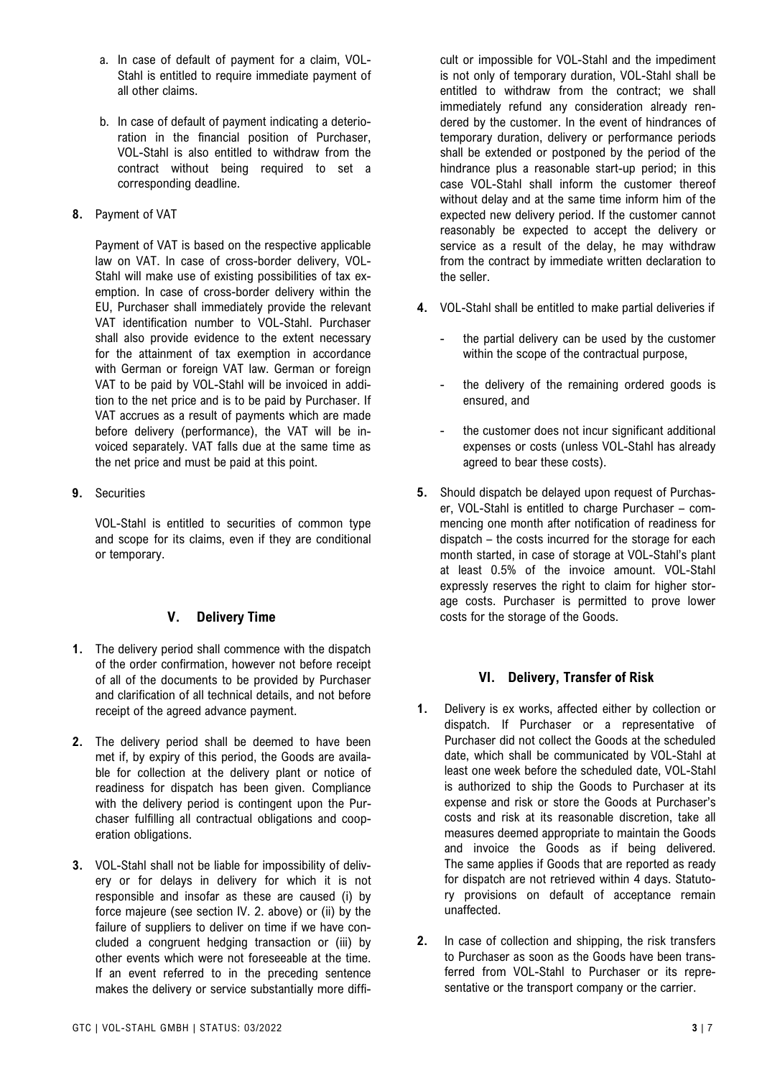- a. In case of default of payment for a claim, VOL-Stahl is entitled to require immediate payment of all other claims.
- b. In case of default of payment indicating a deterioration in the financial position of Purchaser, VOL-Stahl is also entitled to withdraw from the contract without being required to set a corresponding deadline.
- **8.** Payment of VAT

Payment of VAT is based on the respective applicable law on VAT. In case of cross-border delivery, VOL-Stahl will make use of existing possibilities of tax exemption. In case of cross-border delivery within the EU, Purchaser shall immediately provide the relevant VAT identification number to VOL-Stahl. Purchaser shall also provide evidence to the extent necessary for the attainment of tax exemption in accordance with German or foreign VAT law. German or foreign VAT to be paid by VOL-Stahl will be invoiced in addition to the net price and is to be paid by Purchaser. If VAT accrues as a result of payments which are made before delivery (performance), the VAT will be invoiced separately. VAT falls due at the same time as the net price and must be paid at this point.

**9.** Securities

VOL-Stahl is entitled to securities of common type and scope for its claims, even if they are conditional or temporary.

# **V. Delivery Time**

- **1.** The delivery period shall commence with the dispatch of the order confirmation, however not before receipt of all of the documents to be provided by Purchaser and clarification of all technical details, and not before receipt of the agreed advance payment.
- **2.** The delivery period shall be deemed to have been met if, by expiry of this period, the Goods are available for collection at the delivery plant or notice of readiness for dispatch has been given. Compliance with the delivery period is contingent upon the Purchaser fulfilling all contractual obligations and cooperation obligations.
- **3.** VOL-Stahl shall not be liable for impossibility of delivery or for delays in delivery for which it is not responsible and insofar as these are caused (i) by force majeure (see section IV. 2. above) or (ii) by the failure of suppliers to deliver on time if we have concluded a congruent hedging transaction or (iii) by other events which were not foreseeable at the time. If an event referred to in the preceding sentence makes the delivery or service substantially more diffi-

cult or impossible for VOL-Stahl and the impediment is not only of temporary duration, VOL-Stahl shall be entitled to withdraw from the contract; we shall immediately refund any consideration already rendered by the customer. In the event of hindrances of temporary duration, delivery or performance periods shall be extended or postponed by the period of the hindrance plus a reasonable start-up period; in this case VOL-Stahl shall inform the customer thereof without delay and at the same time inform him of the expected new delivery period. If the customer cannot reasonably be expected to accept the delivery or service as a result of the delay, he may withdraw from the contract by immediate written declaration to the seller.

- **4.** VOL-Stahl shall be entitled to make partial deliveries if
	- the partial delivery can be used by the customer within the scope of the contractual purpose,
	- the delivery of the remaining ordered goods is ensured, and
	- the customer does not incur significant additional expenses or costs (unless VOL-Stahl has already agreed to bear these costs).
- **5.** Should dispatch be delayed upon request of Purchaser, VOL-Stahl is entitled to charge Purchaser – commencing one month after notification of readiness for dispatch – the costs incurred for the storage for each month started, in case of storage at VOL-Stahl's plant at least 0.5% of the invoice amount. VOL-Stahl expressly reserves the right to claim for higher storage costs. Purchaser is permitted to prove lower costs for the storage of the Goods.

# **VI. Delivery, Transfer of Risk**

- **1.** Delivery is ex works, affected either by collection or dispatch. If Purchaser or a representative of Purchaser did not collect the Goods at the scheduled date, which shall be communicated by VOL-Stahl at least one week before the scheduled date, VOL-Stahl is authorized to ship the Goods to Purchaser at its expense and risk or store the Goods at Purchaser's costs and risk at its reasonable discretion, take all measures deemed appropriate to maintain the Goods and invoice the Goods as if being delivered. The same applies if Goods that are reported as ready for dispatch are not retrieved within 4 days. Statutory provisions on default of acceptance remain unaffected.
- **2.** In case of collection and shipping, the risk transfers to Purchaser as soon as the Goods have been transferred from VOL-Stahl to Purchaser or its representative or the transport company or the carrier.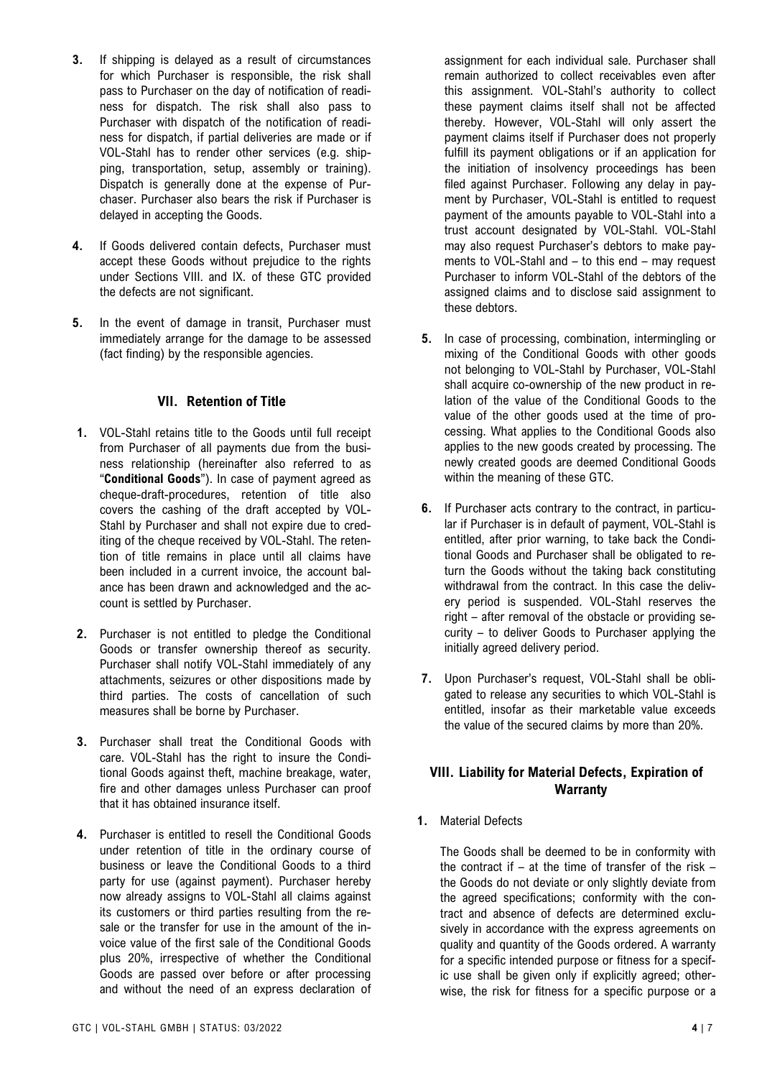- **3.** If shipping is delayed as a result of circumstances for which Purchaser is responsible, the risk shall pass to Purchaser on the day of notification of readiness for dispatch. The risk shall also pass to Purchaser with dispatch of the notification of readiness for dispatch, if partial deliveries are made or if VOL-Stahl has to render other services (e.g. shipping, transportation, setup, assembly or training). Dispatch is generally done at the expense of Purchaser. Purchaser also bears the risk if Purchaser is delayed in accepting the Goods.
- **4.** If Goods delivered contain defects, Purchaser must accept these Goods without prejudice to the rights under Sections VIII. and IX. of these GTC provided the defects are not significant.
- **5.** In the event of damage in transit, Purchaser must immediately arrange for the damage to be assessed (fact finding) by the responsible agencies.

### **VII. Retention of Title**

- **1.** VOL-Stahl retains title to the Goods until full receipt from Purchaser of all payments due from the business relationship (hereinafter also referred to as "**Conditional Goods**"). In case of payment agreed as cheque-draft-procedures, retention of title also covers the cashing of the draft accepted by VOL-Stahl by Purchaser and shall not expire due to crediting of the cheque received by VOL-Stahl. The retention of title remains in place until all claims have been included in a current invoice, the account balance has been drawn and acknowledged and the account is settled by Purchaser.
- **2.** Purchaser is not entitled to pledge the Conditional Goods or transfer ownership thereof as security. Purchaser shall notify VOL-Stahl immediately of any attachments, seizures or other dispositions made by third parties. The costs of cancellation of such measures shall be borne by Purchaser.
- **3.** Purchaser shall treat the Conditional Goods with care. VOL-Stahl has the right to insure the Conditional Goods against theft, machine breakage, water, fire and other damages unless Purchaser can proof that it has obtained insurance itself.
- **4.** Purchaser is entitled to resell the Conditional Goods under retention of title in the ordinary course of business or leave the Conditional Goods to a third party for use (against payment). Purchaser hereby now already assigns to VOL-Stahl all claims against its customers or third parties resulting from the resale or the transfer for use in the amount of the invoice value of the first sale of the Conditional Goods plus 20%, irrespective of whether the Conditional Goods are passed over before or after processing and without the need of an express declaration of

assignment for each individual sale. Purchaser shall remain authorized to collect receivables even after this assignment. VOL-Stahl's authority to collect these payment claims itself shall not be affected thereby. However, VOL-Stahl will only assert the payment claims itself if Purchaser does not properly fulfill its payment obligations or if an application for the initiation of insolvency proceedings has been filed against Purchaser. Following any delay in payment by Purchaser, VOL-Stahl is entitled to request payment of the amounts payable to VOL-Stahl into a trust account designated by VOL-Stahl. VOL-Stahl may also request Purchaser's debtors to make payments to VOL-Stahl and – to this end – may request Purchaser to inform VOL-Stahl of the debtors of the assigned claims and to disclose said assignment to these debtors.

- **5.** In case of processing, combination, intermingling or mixing of the Conditional Goods with other goods not belonging to VOL-Stahl by Purchaser, VOL-Stahl shall acquire co-ownership of the new product in relation of the value of the Conditional Goods to the value of the other goods used at the time of processing. What applies to the Conditional Goods also applies to the new goods created by processing. The newly created goods are deemed Conditional Goods within the meaning of these GTC.
- **6.** If Purchaser acts contrary to the contract, in particular if Purchaser is in default of payment, VOL-Stahl is entitled, after prior warning, to take back the Conditional Goods and Purchaser shall be obligated to return the Goods without the taking back constituting withdrawal from the contract. In this case the delivery period is suspended. VOL-Stahl reserves the right – after removal of the obstacle or providing security – to deliver Goods to Purchaser applying the initially agreed delivery period.
- **7.** Upon Purchaser's request, VOL-Stahl shall be obligated to release any securities to which VOL-Stahl is entitled, insofar as their marketable value exceeds the value of the secured claims by more than 20%.

## **VIII. Liability for Material Defects, Expiration of Warranty**

**1.** Material Defects

The Goods shall be deemed to be in conformity with the contract if – at the time of transfer of the risk – the Goods do not deviate or only slightly deviate from the agreed specifications; conformity with the contract and absence of defects are determined exclusively in accordance with the express agreements on quality and quantity of the Goods ordered. A warranty for a specific intended purpose or fitness for a specific use shall be given only if explicitly agreed; otherwise, the risk for fitness for a specific purpose or a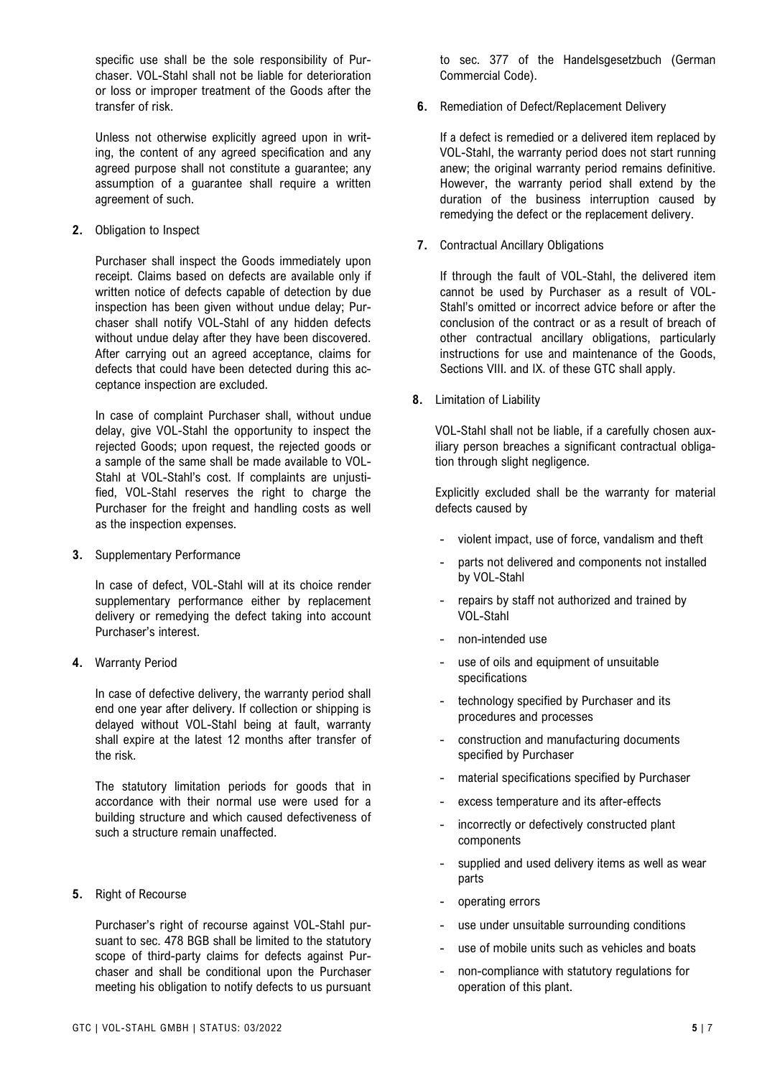specific use shall be the sole responsibility of Purchaser. VOL-Stahl shall not be liable for deterioration or loss or improper treatment of the Goods after the transfer of risk.

Unless not otherwise explicitly agreed upon in writing, the content of any agreed specification and any agreed purpose shall not constitute a guarantee; any assumption of a guarantee shall require a written agreement of such.

**2.** Obligation to Inspect

Purchaser shall inspect the Goods immediately upon receipt. Claims based on defects are available only if written notice of defects capable of detection by due inspection has been given without undue delay; Purchaser shall notify VOL-Stahl of any hidden defects without undue delay after they have been discovered. After carrying out an agreed acceptance, claims for defects that could have been detected during this acceptance inspection are excluded.

In case of complaint Purchaser shall, without undue delay, give VOL-Stahl the opportunity to inspect the rejected Goods; upon request, the rejected goods or a sample of the same shall be made available to VOL-Stahl at VOL-Stahl's cost. If complaints are unjustified, VOL-Stahl reserves the right to charge the Purchaser for the freight and handling costs as well as the inspection expenses.

**3.** Supplementary Performance

In case of defect, VOL-Stahl will at its choice render supplementary performance either by replacement delivery or remedying the defect taking into account Purchaser's interest.

**4.** Warranty Period

In case of defective delivery, the warranty period shall end one year after delivery. If collection or shipping is delayed without VOL-Stahl being at fault, warranty shall expire at the latest 12 months after transfer of the risk.

The statutory limitation periods for goods that in accordance with their normal use were used for a building structure and which caused defectiveness of such a structure remain unaffected.

**5.** Right of Recourse

Purchaser's right of recourse against VOL-Stahl pursuant to sec. 478 BGB shall be limited to the statutory scope of third-party claims for defects against Purchaser and shall be conditional upon the Purchaser meeting his obligation to notify defects to us pursuant to sec. 377 of the Handelsgesetzbuch (German Commercial Code).

**6.** Remediation of Defect/Replacement Delivery

If a defect is remedied or a delivered item replaced by VOL-Stahl, the warranty period does not start running anew; the original warranty period remains definitive. However, the warranty period shall extend by the duration of the business interruption caused by remedying the defect or the replacement delivery.

**7.** Contractual Ancillary Obligations

If through the fault of VOL-Stahl, the delivered item cannot be used by Purchaser as a result of VOL-Stahl's omitted or incorrect advice before or after the conclusion of the contract or as a result of breach of other contractual ancillary obligations, particularly instructions for use and maintenance of the Goods, Sections VIII. and IX. of these GTC shall apply.

**8.** Limitation of Liability

VOL-Stahl shall not be liable, if a carefully chosen auxiliary person breaches a significant contractual obligation through slight negligence.

Explicitly excluded shall be the warranty for material defects caused by

- violent impact, use of force, vandalism and theft
- parts not delivered and components not installed by VOL-Stahl
- repairs by staff not authorized and trained by VOL-Stahl
- non-intended use
- use of oils and equipment of unsuitable specifications
- technology specified by Purchaser and its procedures and processes
- construction and manufacturing documents specified by Purchaser
- material specifications specified by Purchaser
- excess temperature and its after-effects
- incorrectly or defectively constructed plant components
- supplied and used delivery items as well as wear parts
- operating errors
- use under unsuitable surrounding conditions
- use of mobile units such as vehicles and boats
- non-compliance with statutory regulations for operation of this plant.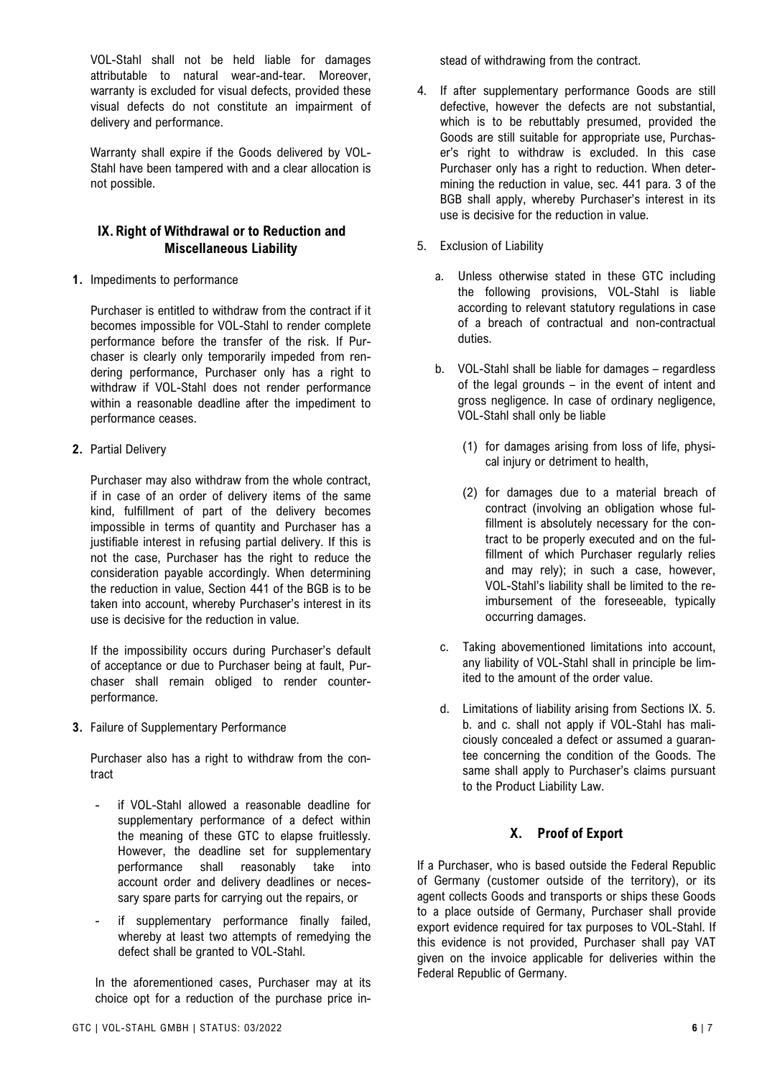VOL-Stahl shall not be held liable for damages attributable to natural wear-and-tear. Moreover, warranty is excluded for visual defects, provided these visual defects do not constitute an impairment of delivery and performance.

Warranty shall expire if the Goods delivered by VOL-Stahl have been tampered with and a clear allocation is not possible.

### **IX.Right of Withdrawal or to Reduction and Miscellaneous Liability**

**1.** Impediments to performance

Purchaser is entitled to withdraw from the contract if it becomes impossible for VOL-Stahl to render complete performance before the transfer of the risk. If Purchaser is clearly only temporarily impeded from rendering performance, Purchaser only has a right to withdraw if VOL-Stahl does not render performance within a reasonable deadline after the impediment to performance ceases.

**2.** Partial Delivery

Purchaser may also withdraw from the whole contract, if in case of an order of delivery items of the same kind, fulfillment of part of the delivery becomes impossible in terms of quantity and Purchaser has a justifiable interest in refusing partial delivery. If this is not the case, Purchaser has the right to reduce the consideration payable accordingly. When determining the reduction in value, Section 441 of the BGB is to be taken into account, whereby Purchaser's interest in its use is decisive for the reduction in value.

If the impossibility occurs during Purchaser's default of acceptance or due to Purchaser being at fault, Purchaser shall remain obliged to render counterperformance.

**3.** Failure of Supplementary Performance

Purchaser also has a right to withdraw from the contract

- if VOL-Stahl allowed a reasonable deadline for supplementary performance of a defect within the meaning of these GTC to elapse fruitlessly. However, the deadline set for supplementary performance shall reasonably take into account order and delivery deadlines or necessary spare parts for carrying out the repairs, or
- if supplementary performance finally failed, whereby at least two attempts of remedying the defect shall be granted to VOL-Stahl.

In the aforementioned cases, Purchaser may at its choice opt for a reduction of the purchase price instead of withdrawing from the contract.

- 4. If after supplementary performance Goods are still defective, however the defects are not substantial, which is to be rebuttably presumed, provided the Goods are still suitable for appropriate use, Purchaser's right to withdraw is excluded. In this case Purchaser only has a right to reduction. When determining the reduction in value, sec. 441 para. 3 of the BGB shall apply, whereby Purchaser's interest in its use is decisive for the reduction in value.
- 5. Exclusion of Liability
	- a. Unless otherwise stated in these GTC including the following provisions, VOL-Stahl is liable according to relevant statutory regulations in case of a breach of contractual and non-contractual duties.
	- b. VOL-Stahl shall be liable for damages regardless of the legal grounds – in the event of intent and gross negligence. In case of ordinary negligence, VOL-Stahl shall only be liable
		- (1) for damages arising from loss of life, physical injury or detriment to health,
		- (2) for damages due to a material breach of contract (involving an obligation whose fulfillment is absolutely necessary for the contract to be properly executed and on the fulfillment of which Purchaser regularly relies and may rely); in such a case, however, VOL-Stahl's liability shall be limited to the reimbursement of the foreseeable, typically occurring damages.
	- c. Taking abovementioned limitations into account, any liability of VOL-Stahl shall in principle be limited to the amount of the order value.
	- d. Limitations of liability arising from Sections IX. 5. b. and c. shall not apply if VOL-Stahl has maliciously concealed a defect or assumed a guarantee concerning the condition of the Goods. The same shall apply to Purchaser's claims pursuant to the Product Liability Law.

### **X. Proof of Export**

If a Purchaser, who is based outside the Federal Republic of Germany (customer outside of the territory), or its agent collects Goods and transports or ships these Goods to a place outside of Germany, Purchaser shall provide export evidence required for tax purposes to VOL-Stahl. If this evidence is not provided, Purchaser shall pay VAT given on the invoice applicable for deliveries within the Federal Republic of Germany.